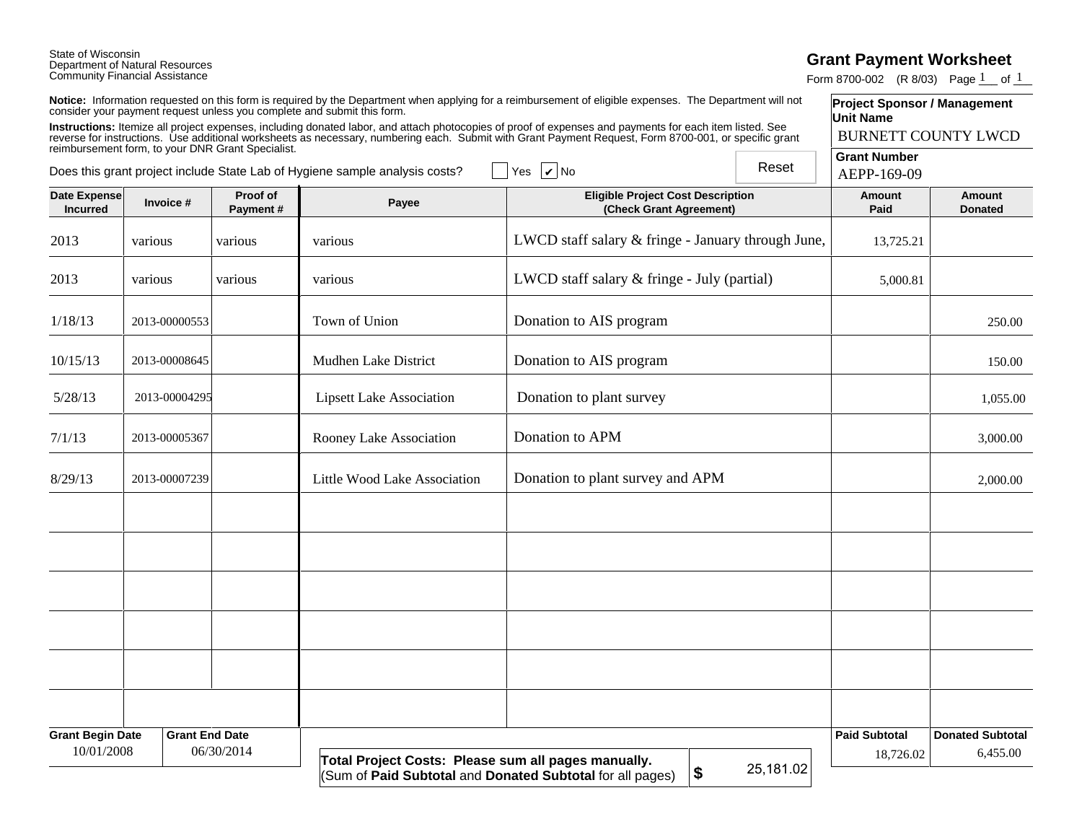## State of Wisconsin Department of Natural Resources Community Financial Assistance

## **Grant Payment Worksheet**

Form 8700-002 (R 8/03) Page  $1$  of  $1$ 

| Notice: Information requested on this form is required by the Department when applying for a reimbursement of eligible expenses. The Department will not |  |
|----------------------------------------------------------------------------------------------------------------------------------------------------------|--|
| consider your payment request unless you complete and submit this form.                                                                                  |  |

|                                                                                                                                                                                                                                                                                                                                                                                       | Community Financial Assistance |                            |                                                                         |                                                                                                                                                          |           | Form 8700-002 (R 8/03) Page 1 of 1                      |                                     |
|---------------------------------------------------------------------------------------------------------------------------------------------------------------------------------------------------------------------------------------------------------------------------------------------------------------------------------------------------------------------------------------|--------------------------------|----------------------------|-------------------------------------------------------------------------|----------------------------------------------------------------------------------------------------------------------------------------------------------|-----------|---------------------------------------------------------|-------------------------------------|
|                                                                                                                                                                                                                                                                                                                                                                                       |                                |                            | consider your payment request unless you complete and submit this form. | Notice: Information requested on this form is required by the Department when applying for a reimbursement of eligible expenses. The Department will not |           | <b>Project Sponsor / Management</b><br><b>Unit Name</b> |                                     |
|                                                                                                                                                                                                                                                                                                                                                                                       |                                | <b>BURNETT COUNTY LWCD</b> |                                                                         |                                                                                                                                                          |           |                                                         |                                     |
| Instructions: Itemize all project expenses, including donated labor, and attach photocopies of proof of expenses and payments for each item listed. See<br>reverse for instructions. Use additional worksheets as necessary, numb<br>Reset<br>$\overline{\phantom{a}}$ Yes $\overline{\phantom{a}}$ No<br>Does this grant project include State Lab of Hygiene sample analysis costs? |                                |                            |                                                                         |                                                                                                                                                          |           | <b>Grant Number</b><br>AEPP-169-09                      |                                     |
| <b>Date Expense</b><br><b>Incurred</b>                                                                                                                                                                                                                                                                                                                                                | Invoice #                      | Proof of<br>Payment#       | Payee                                                                   | <b>Eligible Project Cost Description</b><br>(Check Grant Agreement)                                                                                      |           | <b>Amount</b><br>Paid                                   | <b>Amount</b><br><b>Donated</b>     |
| 2013                                                                                                                                                                                                                                                                                                                                                                                  | various                        | various                    | various                                                                 | LWCD staff salary & fringe - January through June,                                                                                                       |           | 13,725.21                                               |                                     |
| 2013                                                                                                                                                                                                                                                                                                                                                                                  | various                        | various                    | various                                                                 | LWCD staff salary & fringe - July (partial)                                                                                                              |           | 5,000.81                                                |                                     |
| 1/18/13                                                                                                                                                                                                                                                                                                                                                                               | 2013-00000553                  |                            | Town of Union                                                           | Donation to AIS program                                                                                                                                  |           |                                                         | 250.00                              |
| 10/15/13                                                                                                                                                                                                                                                                                                                                                                              | 2013-00008645                  |                            | Mudhen Lake District                                                    | Donation to AIS program                                                                                                                                  |           |                                                         | 150.00                              |
| 5/28/13                                                                                                                                                                                                                                                                                                                                                                               | 2013-00004295                  |                            | <b>Lipsett Lake Association</b>                                         | Donation to plant survey                                                                                                                                 |           |                                                         | 1,055.00                            |
| 7/1/13                                                                                                                                                                                                                                                                                                                                                                                | 2013-00005367                  |                            | Rooney Lake Association                                                 | Donation to APM                                                                                                                                          |           |                                                         | 3,000.00                            |
| 8/29/13                                                                                                                                                                                                                                                                                                                                                                               | 2013-00007239                  |                            | Little Wood Lake Association                                            | Donation to plant survey and APM                                                                                                                         |           |                                                         | 2,000.00                            |
|                                                                                                                                                                                                                                                                                                                                                                                       |                                |                            |                                                                         |                                                                                                                                                          |           |                                                         |                                     |
|                                                                                                                                                                                                                                                                                                                                                                                       |                                |                            |                                                                         |                                                                                                                                                          |           |                                                         |                                     |
|                                                                                                                                                                                                                                                                                                                                                                                       |                                |                            |                                                                         |                                                                                                                                                          |           |                                                         |                                     |
|                                                                                                                                                                                                                                                                                                                                                                                       |                                |                            |                                                                         |                                                                                                                                                          |           |                                                         |                                     |
|                                                                                                                                                                                                                                                                                                                                                                                       |                                |                            |                                                                         |                                                                                                                                                          |           |                                                         |                                     |
|                                                                                                                                                                                                                                                                                                                                                                                       |                                |                            |                                                                         |                                                                                                                                                          |           |                                                         |                                     |
| <b>Grant Begin Date</b><br>10/01/2008                                                                                                                                                                                                                                                                                                                                                 | <b>Grant End Date</b>          | 06/30/2014                 | Total Project Costs: Please sum all pages manually.                     |                                                                                                                                                          | 25,181.02 | <b>Paid Subtotal</b><br>18,726.02                       | <b>Donated Subtotal</b><br>6,455.00 |
|                                                                                                                                                                                                                                                                                                                                                                                       |                                |                            | (Sum of Paid Subtotal and Donated Subtotal for all pages)               | $\boldsymbol{\$}$                                                                                                                                        |           |                                                         |                                     |